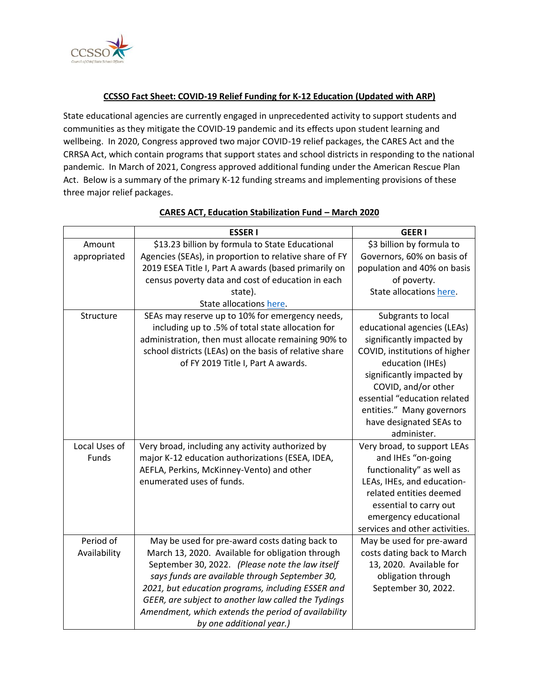

### **CCSSO Fact Sheet: COVID-19 Relief Funding for K-12 Education (Updated with ARP)**

State educational agencies are currently engaged in unprecedented activity to support students and communities as they mitigate the COVID-19 pandemic and its effects upon student learning and wellbeing. In 2020, Congress approved two major COVID-19 relief packages, the CARES Act and the CRRSA Act, which contain programs that support states and school districts in responding to the national pandemic. In March of 2021, Congress approved additional funding under the American Rescue Plan Act. Below is a summary of the primary K-12 funding streams and implementing provisions of these three major relief packages.

|               | <b>ESSERI</b>                                          | <b>GEERI</b>                   |
|---------------|--------------------------------------------------------|--------------------------------|
| Amount        | \$13.23 billion by formula to State Educational        | \$3 billion by formula to      |
| appropriated  | Agencies (SEAs), in proportion to relative share of FY | Governors, 60% on basis of     |
|               | 2019 ESEA Title I, Part A awards (based primarily on   | population and 40% on basis    |
|               | census poverty data and cost of education in each      | of poverty.                    |
|               | state).                                                | State allocations here.        |
|               | State allocations here.                                |                                |
| Structure     | SEAs may reserve up to 10% for emergency needs,        | Subgrants to local             |
|               | including up to .5% of total state allocation for      | educational agencies (LEAs)    |
|               | administration, then must allocate remaining 90% to    | significantly impacted by      |
|               | school districts (LEAs) on the basis of relative share | COVID, institutions of higher  |
|               | of FY 2019 Title I, Part A awards.                     | education (IHEs)               |
|               |                                                        | significantly impacted by      |
|               |                                                        | COVID, and/or other            |
|               |                                                        | essential "education related   |
|               |                                                        | entities." Many governors      |
|               |                                                        | have designated SEAs to        |
|               |                                                        | administer.                    |
| Local Uses of | Very broad, including any activity authorized by       | Very broad, to support LEAs    |
| Funds         | major K-12 education authorizations (ESEA, IDEA,       | and IHEs "on-going             |
|               | AEFLA, Perkins, McKinney-Vento) and other              | functionality" as well as      |
|               | enumerated uses of funds.                              | LEAs, IHEs, and education-     |
|               |                                                        | related entities deemed        |
|               |                                                        | essential to carry out         |
|               |                                                        | emergency educational          |
|               |                                                        | services and other activities. |
| Period of     | May be used for pre-award costs dating back to         | May be used for pre-award      |
| Availability  | March 13, 2020. Available for obligation through       | costs dating back to March     |
|               | September 30, 2022. (Please note the law itself        | 13, 2020. Available for        |
|               | says funds are available through September 30,         | obligation through             |
|               | 2021, but education programs, including ESSER and      | September 30, 2022.            |
|               | GEER, are subject to another law called the Tydings    |                                |
|               | Amendment, which extends the period of availability    |                                |
|               | by one additional year.)                               |                                |

### **CARES ACT, Education Stabilization Fund – March 2020**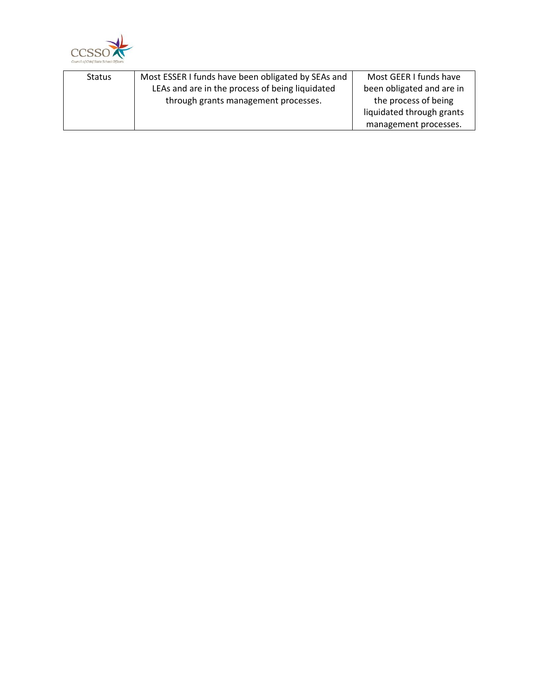

| <b>Status</b> | Most ESSER I funds have been obligated by SEAs and | Most GEER I funds have    |
|---------------|----------------------------------------------------|---------------------------|
|               | LEAs and are in the process of being liquidated    | been obligated and are in |
|               | through grants management processes.               | the process of being      |
|               |                                                    | liquidated through grants |
|               |                                                    | management processes.     |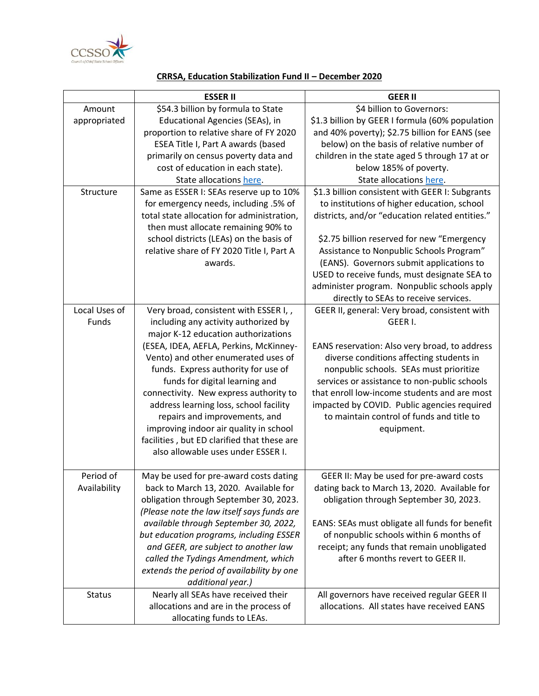

## **CRRSA, Education Stabilization Fund II – December 2020**

|               | <b>ESSER II</b>                             | <b>GEER II</b>                                  |
|---------------|---------------------------------------------|-------------------------------------------------|
| Amount        | \$54.3 billion by formula to State          | \$4 billion to Governors:                       |
| appropriated  | Educational Agencies (SEAs), in             | \$1.3 billion by GEER I formula (60% population |
|               | proportion to relative share of FY 2020     | and 40% poverty); \$2.75 billion for EANS (see  |
|               | ESEA Title I, Part A awards (based          | below) on the basis of relative number of       |
|               | primarily on census poverty data and        | children in the state aged 5 through 17 at or   |
|               | cost of education in each state).           | below 185% of poverty.                          |
|               | State allocations here.                     | State allocations here.                         |
| Structure     | Same as ESSER I: SEAs reserve up to 10%     | \$1.3 billion consistent with GEER I: Subgrants |
|               | for emergency needs, including .5% of       | to institutions of higher education, school     |
|               | total state allocation for administration,  | districts, and/or "education related entities." |
|               | then must allocate remaining 90% to         |                                                 |
|               | school districts (LEAs) on the basis of     | \$2.75 billion reserved for new "Emergency      |
|               | relative share of FY 2020 Title I, Part A   | Assistance to Nonpublic Schools Program"        |
|               | awards.                                     | (EANS). Governors submit applications to        |
|               |                                             | USED to receive funds, must designate SEA to    |
|               |                                             | administer program. Nonpublic schools apply     |
|               |                                             | directly to SEAs to receive services.           |
| Local Uses of | Very broad, consistent with ESSER I, ,      | GEER II, general: Very broad, consistent with   |
| Funds         | including any activity authorized by        | GEER I.                                         |
|               | major K-12 education authorizations         |                                                 |
|               | (ESEA, IDEA, AEFLA, Perkins, McKinney-      | EANS reservation: Also very broad, to address   |
|               | Vento) and other enumerated uses of         | diverse conditions affecting students in        |
|               | funds. Express authority for use of         | nonpublic schools. SEAs must prioritize         |
|               | funds for digital learning and              | services or assistance to non-public schools    |
|               | connectivity. New express authority to      | that enroll low-income students and are most    |
|               | address learning loss, school facility      | impacted by COVID. Public agencies required     |
|               | repairs and improvements, and               | to maintain control of funds and title to       |
|               | improving indoor air quality in school      | equipment.                                      |
|               | facilities, but ED clarified that these are |                                                 |
|               | also allowable uses under ESSER I.          |                                                 |
|               |                                             |                                                 |
| Period of     | May be used for pre-award costs dating      | GEER II: May be used for pre-award costs        |
| Availability  | back to March 13, 2020. Available for       | dating back to March 13, 2020. Available for    |
|               | obligation through September 30, 2023.      | obligation through September 30, 2023.          |
|               | (Please note the law itself says funds are  |                                                 |
|               | available through September 30, 2022,       | EANS: SEAs must obligate all funds for benefit  |
|               | but education programs, including ESSER     | of nonpublic schools within 6 months of         |
|               | and GEER, are subject to another law        | receipt; any funds that remain unobligated      |
|               | called the Tydings Amendment, which         | after 6 months revert to GEER II.               |
|               | extends the period of availability by one   |                                                 |
|               | additional year.)                           |                                                 |
| <b>Status</b> | Nearly all SEAs have received their         | All governors have received regular GEER II     |
|               | allocations and are in the process of       | allocations. All states have received EANS      |
|               | allocating funds to LEAs.                   |                                                 |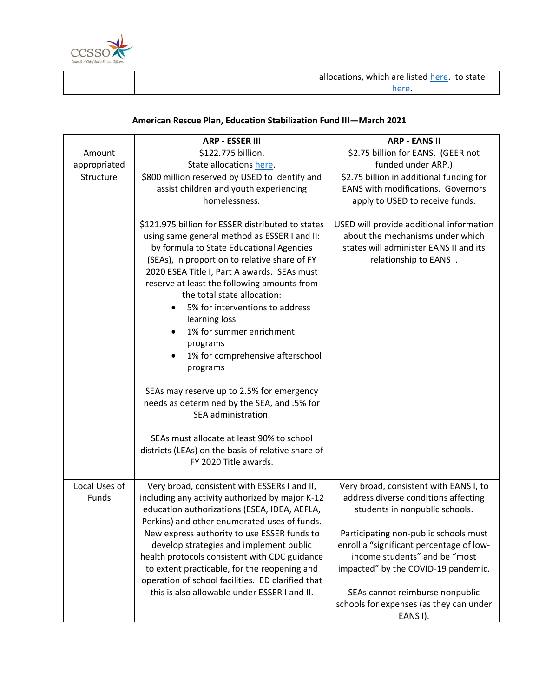

| allocations, which are listed here. to state |
|----------------------------------------------|
|                                              |

# **American Rescue Plan, Education Stabilization Fund III—March 2021**

|                        | <b>ARP - ESSER III</b>                                                                                                                                                                                                                                                                                                                                                                                                                                                                                                                                                                                  | <b>ARP - EANS II</b>                                                                                                                                                                                                                                                                                                                                                    |
|------------------------|---------------------------------------------------------------------------------------------------------------------------------------------------------------------------------------------------------------------------------------------------------------------------------------------------------------------------------------------------------------------------------------------------------------------------------------------------------------------------------------------------------------------------------------------------------------------------------------------------------|-------------------------------------------------------------------------------------------------------------------------------------------------------------------------------------------------------------------------------------------------------------------------------------------------------------------------------------------------------------------------|
| Amount                 | \$122.775 billion.                                                                                                                                                                                                                                                                                                                                                                                                                                                                                                                                                                                      | \$2.75 billion for EANS. (GEER not                                                                                                                                                                                                                                                                                                                                      |
| appropriated           | State allocations here.                                                                                                                                                                                                                                                                                                                                                                                                                                                                                                                                                                                 | funded under ARP.)                                                                                                                                                                                                                                                                                                                                                      |
| Structure              | \$800 million reserved by USED to identify and<br>assist children and youth experiencing<br>homelessness.                                                                                                                                                                                                                                                                                                                                                                                                                                                                                               | \$2.75 billion in additional funding for<br><b>EANS with modifications. Governors</b><br>apply to USED to receive funds.                                                                                                                                                                                                                                                |
|                        | \$121.975 billion for ESSER distributed to states<br>using same general method as ESSER I and II:<br>by formula to State Educational Agencies<br>(SEAs), in proportion to relative share of FY<br>2020 ESEA Title I, Part A awards. SEAs must<br>reserve at least the following amounts from<br>the total state allocation:<br>5% for interventions to address<br>learning loss<br>1% for summer enrichment<br>$\bullet$<br>programs<br>1% for comprehensive afterschool<br>programs<br>SEAs may reserve up to 2.5% for emergency<br>needs as determined by the SEA, and .5% for<br>SEA administration. | USED will provide additional information<br>about the mechanisms under which<br>states will administer EANS II and its<br>relationship to EANS I.                                                                                                                                                                                                                       |
|                        | SEAs must allocate at least 90% to school<br>districts (LEAs) on the basis of relative share of<br>FY 2020 Title awards.                                                                                                                                                                                                                                                                                                                                                                                                                                                                                |                                                                                                                                                                                                                                                                                                                                                                         |
| Local Uses of<br>Funds | Very broad, consistent with ESSERs I and II,<br>including any activity authorized by major K-12<br>education authorizations (ESEA, IDEA, AEFLA,<br>Perkins) and other enumerated uses of funds.<br>New express authority to use ESSER funds to<br>develop strategies and implement public<br>health protocols consistent with CDC guidance<br>to extent practicable, for the reopening and<br>operation of school facilities. ED clarified that<br>this is also allowable under ESSER I and II.                                                                                                         | Very broad, consistent with EANS I, to<br>address diverse conditions affecting<br>students in nonpublic schools.<br>Participating non-public schools must<br>enroll a "significant percentage of low-<br>income students" and be "most<br>impacted" by the COVID-19 pandemic.<br>SEAs cannot reimburse nonpublic<br>schools for expenses (as they can under<br>EANS I). |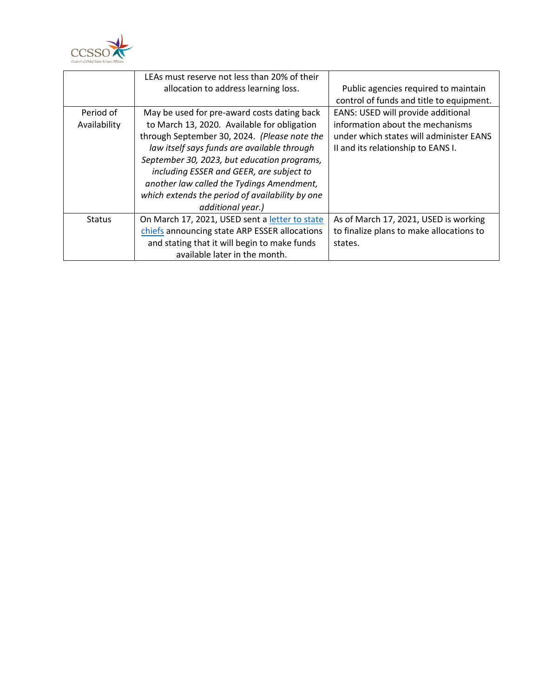

|               | LEAs must reserve not less than 20% of their    |                                          |
|---------------|-------------------------------------------------|------------------------------------------|
|               | allocation to address learning loss.            | Public agencies required to maintain     |
|               |                                                 | control of funds and title to equipment. |
| Period of     | May be used for pre-award costs dating back     | EANS: USED will provide additional       |
| Availability  | to March 13, 2020. Available for obligation     | information about the mechanisms         |
|               | through September 30, 2024. (Please note the    | under which states will administer EANS  |
|               | law itself says funds are available through     | II and its relationship to EANS I.       |
|               | September 30, 2023, but education programs,     |                                          |
|               | including ESSER and GEER, are subject to        |                                          |
|               | another law called the Tydings Amendment,       |                                          |
|               | which extends the period of availability by one |                                          |
|               | additional year.)                               |                                          |
| <b>Status</b> | On March 17, 2021, USED sent a letter to state  | As of March 17, 2021, USED is working    |
|               | chiefs announcing state ARP ESSER allocations   | to finalize plans to make allocations to |
|               | and stating that it will begin to make funds    | states.                                  |
|               | available later in the month.                   |                                          |